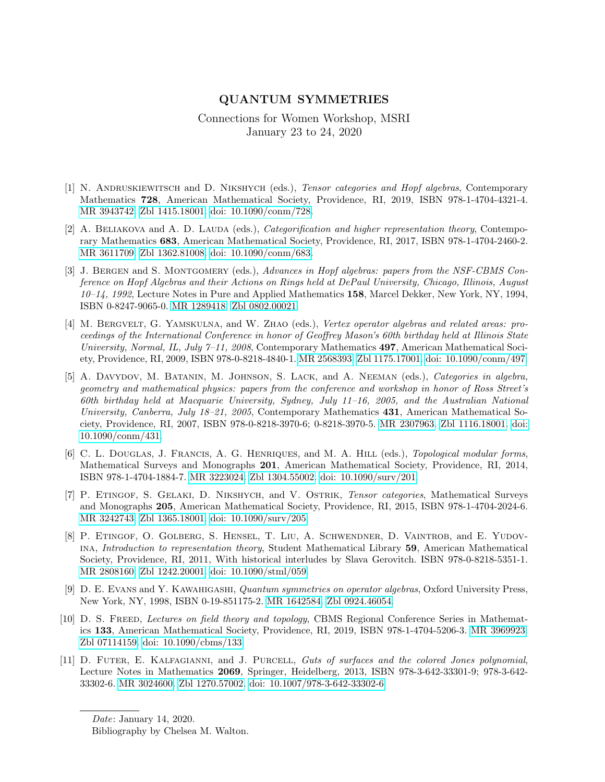## QUANTUM SYMMETRIES

## Connections for Women Workshop, MSRI January 23 to 24, 2020

- [1] N. ANDRUSKIEWITSCH and D. NIKSHYCH (eds.), Tensor categories and Hopf algebras, Contemporary Mathematics 728, American Mathematical Society, Providence, RI, 2019, ISBN 978-1-4704-4321-4. [MR 3943742.](http://www.ams.org/mathscinet-getitem?mr=3943742) [Zbl 1415.18001.](http://www.zbmath.org/?q=an:1415.18001) [doi: 10.1090/conm/728.](https://doi.org/10.1090/conm/728)
- [2] A. BELIAKOVA and A. D. LAUDA (eds.), Categorification and higher representation theory, Contemporary Mathematics 683, American Mathematical Society, Providence, RI, 2017, ISBN 978-1-4704-2460-2. [MR 3611709.](http://www.ams.org/mathscinet-getitem?mr=3611709) [Zbl 1362.81008.](http://www.zbmath.org/?q=an:1362.81008) [doi: 10.1090/conm/683.](https://doi.org/10.1090/conm/683)
- [3] J. BERGEN and S. MONTGOMERY (eds.), Advances in Hopf algebras: papers from the NSF-CBMS Conference on Hopf Algebras and their Actions on Rings held at DePaul University, Chicago, Illinois, August 10–14, 1992, Lecture Notes in Pure and Applied Mathematics 158, Marcel Dekker, New York, NY, 1994, ISBN 0-8247-9065-0. [MR 1289418.](http://www.ams.org/mathscinet-getitem?mr=1289418) [Zbl 0802.00021.](http://www.zbmath.org/?q=an:0802.00021)
- [4] M. BERGVELT, G. YAMSKULNA, and W. ZHAO (eds.), Vertex operator algebras and related areas: proceedings of the International Conference in honor of Geoffrey Mason's 60th birthday held at Illinois State University, Normal, IL, July 7–11, 2008, Contemporary Mathematics 497, American Mathematical Society, Providence, RI, 2009, ISBN 978-0-8218-4840-1. [MR 2568393.](http://www.ams.org/mathscinet-getitem?mr=2568393) [Zbl 1175.17001.](http://www.zbmath.org/?q=an:1175.17001) [doi: 10.1090/conm/497.](https://doi.org/10.1090/conm/497)
- [5] A. DAVYDOV, M. BATANIN, M. JOHNSON, S. LACK, and A. NEEMAN (eds.), *Categories in algebra*, geometry and mathematical physics: papers from the conference and workshop in honor of Ross Street's 60th birthday held at Macquarie University, Sydney, July 11–16, 2005, and the Australian National University, Canberra, July 18–21, 2005, Contemporary Mathematics 431, American Mathematical Society, Providence, RI, 2007, ISBN 978-0-8218-3970-6; 0-8218-3970-5. [MR 2307963.](http://www.ams.org/mathscinet-getitem?mr=2307963) [Zbl 1116.18001.](http://www.zbmath.org/?q=an:1116.18001) [doi:](https://doi.org/10.1090/conm/431) [10.1090/conm/431.](https://doi.org/10.1090/conm/431)
- [6] C. L. DOUGLAS, J. FRANCIS, A. G. HENRIQUES, and M. A. HILL (eds.), Topological modular forms, Mathematical Surveys and Monographs 201, American Mathematical Society, Providence, RI, 2014, ISBN 978-1-4704-1884-7. [MR 3223024.](http://www.ams.org/mathscinet-getitem?mr=3223024) [Zbl 1304.55002.](http://www.zbmath.org/?q=an:1304.55002) [doi: 10.1090/surv/201.](https://doi.org/10.1090/surv/201)
- [7] P. ETINGOF, S. GELAKI, D. NIKSHYCH, and V. OSTRIK, *Tensor categories*, Mathematical Surveys and Monographs 205, American Mathematical Society, Providence, RI, 2015, ISBN 978-1-4704-2024-6. [MR 3242743.](http://www.ams.org/mathscinet-getitem?mr=3242743) [Zbl 1365.18001.](http://www.zbmath.org/?q=an:1365.18001) [doi: 10.1090/surv/205.](https://doi.org/10.1090/surv/205)
- [8] P. Etingof, O. Golberg, S. Hensel, T. Liu, A. Schwendner, D. Vaintrob, and E. Yudovina, Introduction to representation theory, Student Mathematical Library 59, American Mathematical Society, Providence, RI, 2011, With historical interludes by Slava Gerovitch. ISBN 978-0-8218-5351-1. [MR 2808160.](http://www.ams.org/mathscinet-getitem?mr=2808160) [Zbl 1242.20001.](http://www.zbmath.org/?q=an:1242.20001) [doi: 10.1090/stml/059.](https://doi.org/10.1090/stml/059)
- [9] D. E. EVANS and Y. KAWAHIGASHI, Quantum symmetries on operator algebras, Oxford University Press, New York, NY, 1998, ISBN 0-19-851175-2. [MR 1642584.](http://www.ams.org/mathscinet-getitem?mr=1642584) [Zbl 0924.46054.](http://www.zbmath.org/?q=an:0924.46054)
- [10] D. S. FREED, Lectures on field theory and topology, CBMS Regional Conference Series in Mathematics 133, American Mathematical Society, Providence, RI, 2019, ISBN 978-1-4704-5206-3. [MR 3969923.](http://www.ams.org/mathscinet-getitem?mr=3969923) [Zbl 07114159.](http://www.zbmath.org/?q=an:07114159) [doi: 10.1090/cbms/133.](https://doi.org/10.1090/cbms/133)
- [11] D. Futer, E. Kalfagianni, and J. Purcell, Guts of surfaces and the colored Jones polynomial, Lecture Notes in Mathematics 2069, Springer, Heidelberg, 2013, ISBN 978-3-642-33301-9; 978-3-642- 33302-6. [MR 3024600.](http://www.ams.org/mathscinet-getitem?mr=3024600) [Zbl 1270.57002.](http://www.zbmath.org/?q=an:1270.57002) [doi: 10.1007/978-3-642-33302-6.](https://doi.org/10.1007/978-3-642-33302-6)

Date: January 14, 2020. Bibliography by Chelsea M. Walton.